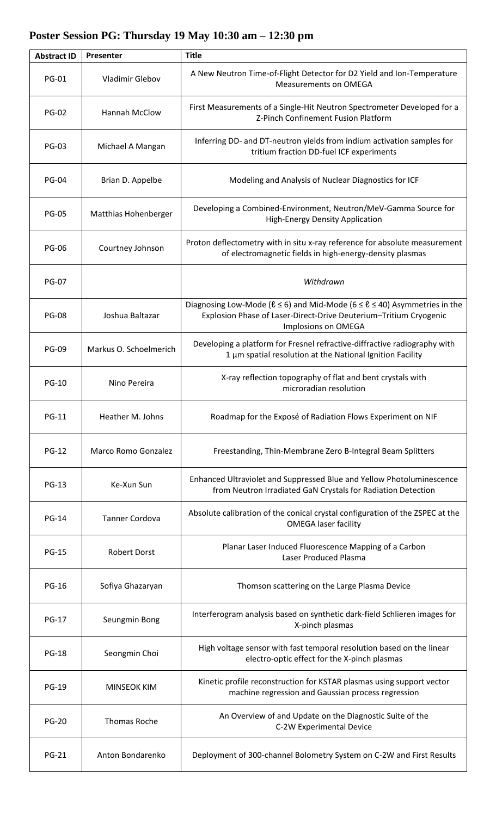## **Abstract ID Presenter Title** PG-01 Vladimir Glebov A New Neutron Time-of-Flight Detector for D2 Yield and Ion-Temperature Measurements on OMEGA PG-02 Hannah McClow First Measurements of a Single-Hit Neutron Spectrometer Developed for a Z-Pinch Confinement Fusion Platform PG-03 Michael A Mangan Inferring DD- and DT-neutron yields from indium activation samples for tritium fraction DD-fuel ICF experiments PG-04 | Brian D. Appelbe | Modeling and Analysis of Nuclear Diagnostics for ICF PG-05 Matthias Hohenberger Developing a Combined-Environment, Neutron/MeV-Gamma Source for High-Energy Density Application PG-06 Courtney Johnson Proton deflectometry with in situ x-ray reference for absolute measurement of electromagnetic fields in high-energy-density plasmas PG-07 *Withdrawn* PG-08 Joshua Baltazar Diagnosing Low-Mode ( $\ell \leq 6$ ) and Mid-Mode ( $6 \leq \ell \leq 40$ ) Asymmetries in the Explosion Phase of Laser-Direct-Drive Deuterium–Tritium Cryogenic Implosions on OMEGA PG-09 Markus O. Schoelmerich Developing a platform for Fresnel refractive-diffractive radiography with 1 μm spatial resolution at the National Ignition Facility PG-10 Nino Pereira **X-ray reflection topography of flat and bent crystals with** microradian resolution PG-11 | Heather M. Johns | Roadmap for the Exposé of Radiation Flows Experiment on NIF PG-12 | Marco Romo Gonzalez | Freestanding, Thin-Membrane Zero B-Integral Beam Splitters PG-13 Ke-Xun Sun Enhanced Ultraviolet and Suppressed Blue and Yellow Photoluminescence from Neutron Irradiated GaN Crystals for Radiation Detection PG-14 Tanner Cordova Absolute calibration of the conical crystal configuration of the ZSPEC at the OMEGA laser facility PG-15 Robert Dorst Planar Laser Induced Fluorescence Mapping of a Carbon Laser Produced Plasma PG-16 | Sofiya Ghazaryan | Thomson scattering on the Large Plasma Device PG-17 Seungmin Bong | Interferogram analysis based on synthetic dark-field Schlieren images for X-pinch plasmas PG-18 Seongmin Choi High voltage sensor with fast temporal resolution based on the linear electro-optic effect for the X-pinch plasmas PG-19 MINSEOK KIM Kinetic profile reconstruction for KSTAR plasmas using support vector machine regression and Gaussian process regression PG-20 Thomas Roche An Overview of and Update on the Diagnostic Suite of the C-2W Experimental Device PG-21 | Anton Bondarenko | Deployment of 300-channel Bolometry System on C-2W and First Results

## **Poster Session PG: Thursday 19 May 10:30 am – 12:30 pm**